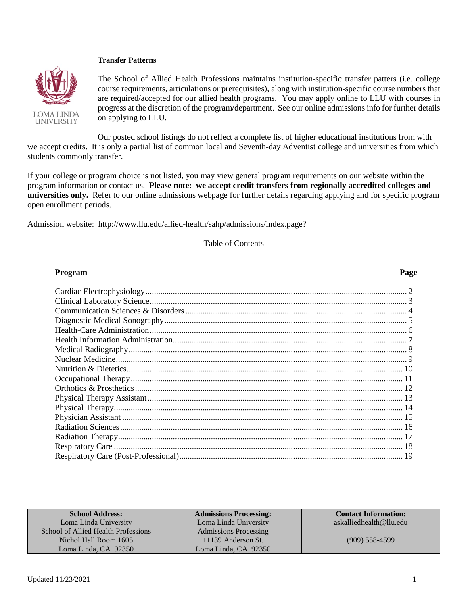### **Transfer Patterns**



The School of Allied Health Professions maintains institution-specific transfer patters (i.e. college course requirements, articulations or prerequisites), along with institution-specific course numbers that are required/accepted for our allied health programs. You may apply online to LLU with courses in progress at the discretion of the program/department. See our online admissions info for further details on applying to LLU.

Our posted school listings do not reflect a complete list of higher educational institutions from with we accept credits. It is only a partial list of common local and Seventh-day Adventist college and universities from which students commonly transfer.

If your college or program choice is not listed, you may view general program requirements on our website within the program information or contact us. **Please note: we accept credit transfers from regionally accredited colleges and universities only.** Refer to our online admissions webpage for further details regarding applying and for specific program open enrollment periods.

Admission website: http://www.llu.edu/allied-health/sahp/admissions/index.page?

Table of Contents

### **Program Page**

| <b>School Address:</b>              | <b>Admissions Processing:</b> | <b>Contact Information:</b> |
|-------------------------------------|-------------------------------|-----------------------------|
| Loma Linda University               | Loma Linda University         | askalliedhealth@llu.edu     |
| School of Allied Health Professions | <b>Admissions Processing</b>  |                             |
| Nichol Hall Room 1605               | 11139 Anderson St.            | $(909)$ 558-4599            |
| Loma Linda, CA 92350                | Loma Linda, CA 92350          |                             |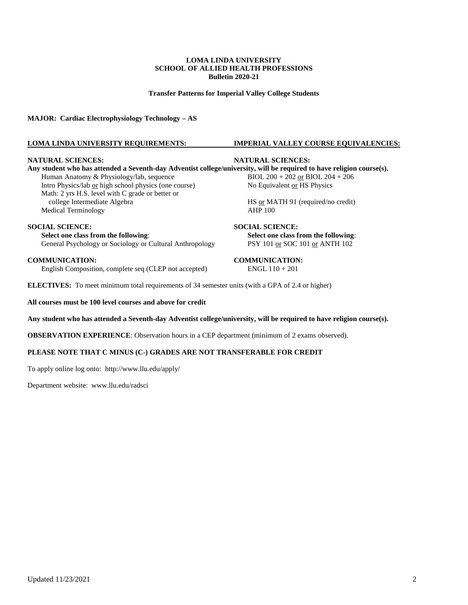**Transfer Patterns for Imperial Valley College Students**

**MAJOR: Cardiac Electrophysiology Technology – AS**

### **LOMA LINDA UNIVERSITY REQUIREMENTS: IMPERIAL VALLEY COURSE EQUIVALENCIES:**

#### **NATURAL SCIENCES: NATURAL SCIENCES:**

**Any student who has attended a Seventh-day Adventist college/university, will be required to have religion course(s).**<br>Human Anatomy & Physiology/lab, sequence<br> $BIOL 200 + 202 \underline{or} BIOL 204 + 206$ Human Anatomy & Physiology/lab, sequence Intro Physics/lab <u>or</u> high school physics (one course) No Equivalent <u>or</u> HS Physics Math: 2 yrs H.S. level with C grade or better or college Intermediate Algebra HS or MATH 91 (required/no credit)<br>edical Terminology AHP 100 Medical Terminology

**SOCIAL SCIENCE:**<br> **SOCIAL SCIENCE:**<br> **SOCIAL SCIENCE:**<br> **Select one class from the following:**<br> **Select one class from the following:** General Psychology or Sociology or Cultural Anthropology PSY 101 or SOC 101 or ANTH 102

**COMMUNICATION:** COMMUNICATION: English Composition. complete seq (CLEP not accepted) ENGL 110 + 201 English Composition, complete seq (CLEP not accepted)

**ELECTIVES:** To meet minimum total requirements of 34 semester units (with a GPA of 2.4 or higher)

**All courses must be 100 level courses and above for credit**

#### **Any student who has attended a Seventh-day Adventist college/university, will be required to have religion course(s).**

**OBSERVATION EXPERIENCE**: Observation hours in a CEP department (minimum of 2 exams observed).

### **PLEASE NOTE THAT C MINUS (C-) GRADES ARE NOT TRANSFERABLE FOR CREDIT**

To apply online log onto: <http://www.llu.edu/apply/>

Department website: [www.llu.edu/radsci](http://www.llu.edu/radsci)

**Select one class from the following**: **Select one class from the following**: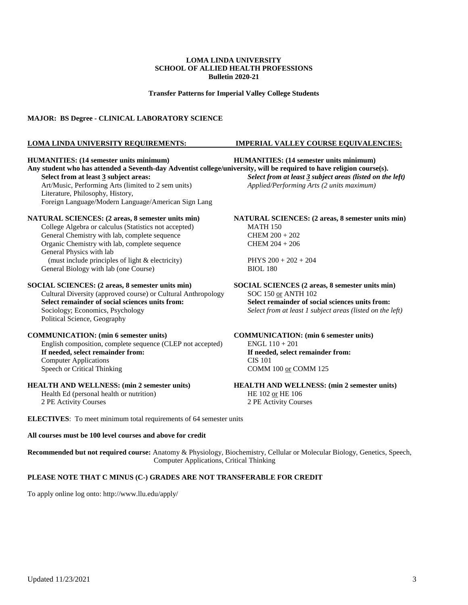**Transfer Patterns for Imperial Valley College Students**

### **MAJOR: BS Degree - CLINICAL LABORATORY SCIENCE**

#### **LOMA LINDA UNIVERSITY REQUIREMENTS: IMPERIAL VALLEY COURSE EQUIVALENCIES:**

**HUMANITIES: (14 semester units minimum) HUMANITIES: (14 semester units minimum) Any student who has attended a Seventh-day Adventist college/university, will be required to have religion course(s). Select from at least 3 subject areas:** *Select from at least 3 subject areas (listed on the left)* Art/Music, Performing Arts (limited to 2 sem units) *Applied/Performing Arts (2 units maximum)* Literature, Philosophy, History, Foreign Language/Modern Language/American Sign Lang **NATURAL SCIENCES: (2 areas, 8 semester units min) NATURAL SCIENCES: (2 areas, 8 semester units min)**  College Algebra or calculus (Statistics not accepted) MATH 150<br>General Chemistry with lab, complete sequence CHEM  $200 + 202$ General Chemistry with lab, complete sequence Organic Chemistry with lab, complete sequence CHEM 204 + 206 General Physics with lab (must include principles of light & electricity) PHYS  $200 + 202 + 204$ General Biology with lab (one Course) BIOL 180 **SOCIAL SCIENCES: (2 areas, 8 semester units min) SOCIAL SCIENCES (2 areas, 8 semester units min)**  Cultural Diversity (approved course) or Cultural Anthropology SOC 150 or ANTH 102 **Select remainder of social sciences units from: Select remainder of social sciences units from:** Sociology; Economics, Psychology *Select from at least 1 subject areas (listed on the left)* Political Science, Geography **COMMUNICATION: (min 6 semester units)**<br> **COMMUNICATION: (min 6 semester units)**<br> **COMMUNICATION: (min 6 semester units)**<br> **COMMUNICATION: (min 6 semester units)** English composition, complete sequence (CLEP not accepted) If needed, select remainder from: **If needed, select remainder from: If needed, select remainder from:** Computer Applications CIS 101 Speech or Critical Thinking COMM 100 or COMM 125 **HEALTH AND WELLNESS: (min 2 semester units) HEALTH AND WELLNESS: (min 2 semester units)** Health Ed (personal health or nutrition) HE 102 or HE 106

2 PE Activity Courses 2 PE Activity Courses

**ELECTIVES**: To meet minimum total requirements of 64 semester units

### **All courses must be 100 level courses and above for credit**

**Recommended but not required course:** Anatomy & Physiology, Biochemistry, Cellular or Molecular Biology, Genetics, Speech, Computer Applications, Critical Thinking

### **PLEASE NOTE THAT C MINUS (C-) GRADES ARE NOT TRANSFERABLE FOR CREDIT**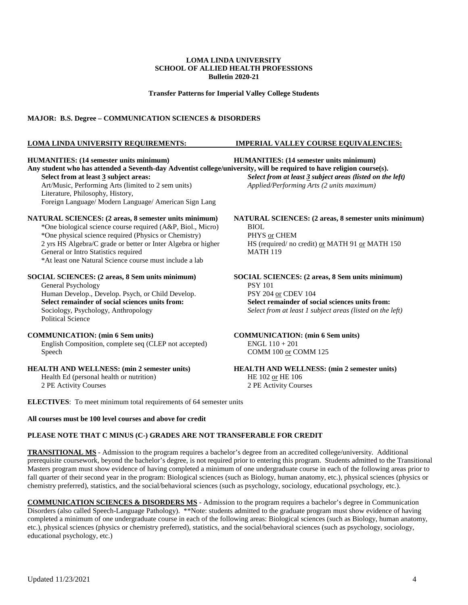**Transfer Patterns for Imperial Valley College Students**

### **MAJOR: B.S. Degree – COMMUNICATION SCIENCES & DISORDERS**

### **LOMA LINDA UNIVERSITY REQUIREMENTS: IMPERIAL VALLEY COURSE EQUIVALENCIES:**

**HUMANITIES: (14 semester units minimum) HUMANITIES: (14 semester units minimum) Any student who has attended a Seventh-day Adventist college/university, will be required to have religion course(s). Select from at least 3 subject areas:** *Select from at least 3 subject areas (listed on the left)* Art/Music, Performing Arts (limited to 2 sem units) *Applied/Performing Arts (2 units maximum)* Literature, Philosophy, History, Foreign Language/ Modern Language/ American Sign Lang **NATURAL SCIENCES: (2 areas, 8 semester units minimum) NATURAL SCIENCES: (2 areas, 8 semester units minimum)** \*One biological science course required (A&P, Biol., Micro) BIOL \*One physical science required (Physics or Chemistry) 2 yrs HS Algebra/C grade or better or Inter Algebra or higher HS (required/ no credit) or MATH 91 or MATH 150 General or Intro Statistics required MATH 119 \*At least one Natural Science course must include a lab **SOCIAL SCIENCES: (2 areas, 8 Sem units minimum) SOCIAL SCIENCES: (2 areas, 8 Sem units minimum)** General Psychology<br>
Human Develop., Develop. Psych, or Child Develop.<br>
PSY 204 <u>or</u> CDEV 104 Human Develop., Develop. Psych, or Child Develop. **Select remainder of social sciences units from:**<br>Seciology, Psychology, Anthropology<br>Select from at least 1 subject areas (listed on the Select from at least 1 subject areas (listed on the left) Political Science **COMMUNICATION: (min 6 Sem units) COMMUNICATION: (min 6 Sem units)** English Composition, complete seq (CLEP not accepted) ENGL  $110 + 201$ Speech COMM 100 or COMM 125 **HEALTH AND WELLNESS: (min 2 semester units) HEALTH AND WELLNESS: (min 2 semester units)** Health Ed (personal health or nutrition) HE 102 or HE 106 2 PE Activity Courses 2 PE Activity Courses

**ELECTIVES**: To meet minimum total requirements of 64 semester units

### **All courses must be 100 level courses and above for credit**

### **PLEASE NOTE THAT C MINUS (C-) GRADES ARE NOT TRANSFERABLE FOR CREDIT**

**TRANSITIONAL MS** - Admission to the program requires a bachelor's degree from an accredited college/university. Additional prerequisite coursework, beyond the bachelor's degree, is not required prior to entering this program. Students admitted to the Transitional Masters program must show evidence of having completed a minimum of one undergraduate course in each of the following areas prior to fall quarter of their second year in the program: Biological sciences (such as Biology, human anatomy, etc.), physical sciences (physics or chemistry preferred), statistics, and the social/behavioral sciences (such as psychology, sociology, educational psychology, etc.).

**COMMUNICATION SCIENCES & DISORDERS MS** - Admission to the program requires a bachelor's degree in Communication Disorders (also called Speech-Language Pathology). \*\*Note: students admitted to the graduate program must show evidence of having completed a minimum of one undergraduate course in each of the following areas: Biological sciences (such as Biology, human anatomy, etc.), physical sciences (physics or chemistry preferred), statistics, and the social/behavioral sciences (such as psychology, sociology, educational psychology, etc.)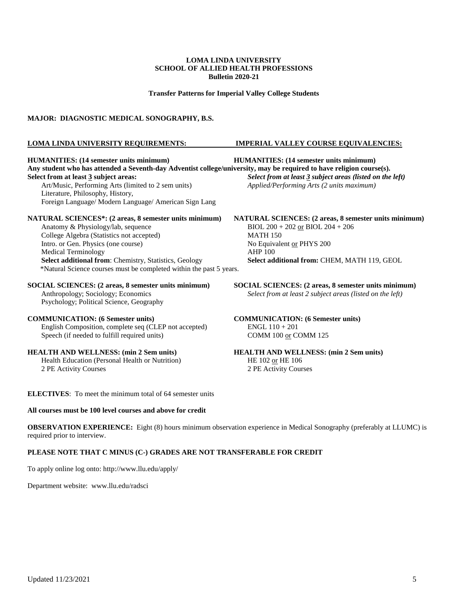**Transfer Patterns for Imperial Valley College Students**

### **MAJOR: DIAGNOSTIC MEDICAL SONOGRAPHY, B.S.**

#### **LOMA LINDA UNIVERSITY REQUIREMENTS: IMPERIAL VALLEY COURSE EQUIVALENCIES:**

**HUMANITIES: (14 semester units minimum) HUMANITIES: (14 semester units minimum) Any student who has attended a Seventh-day Adventist college/university, may be required to have religion course(s). Select from at least 3 subject areas:** *Select from at least 3 subject areas (listed on the left)* Art/Music, Performing Arts (limited to 2 sem units) *Applied/Performing Arts (2 units maximum)* Literature, Philosophy, History, Foreign Language/ Modern Language/ American Sign Lang **NATURAL SCIENCES\*: (2 areas, 8 semester units minimum) NATURAL SCIENCES: (2 areas, 8 semester units minimum)** Anatomy & Physiology/lab, sequence College Algebra (Statistics not accepted) MATH 150 Intro. or Gen. Physics (one course) No Equivalent or PHYS 200 Medical Terminology **AHP** 100 **Select additional from**: Chemistry, Statistics, Geology **Select additional from:** CHEM, MATH 119, GEOL \*Natural Science courses must be completed within the past 5 years. **SOCIAL SCIENCES:** (2 areas, 8 semester units minimum)<br>Anthropology; Sociology; Economics<br>Select from at least 2 subject areas (listed on the left) Select from at least 2 subject areas (listed on the left) Psychology; Political Science, Geography **COMMUNICATION: (6 Semester units) COMMUNICATION: (6 Semester units)** English Composition, complete seq (CLEP not accepted) ENGL  $110 + 201$ <br>Speech (if needed to fulfill required units) COMM  $100 \text{ or }$  COMM  $125$ Speech (if needed to fulfill required units) **HEALTH AND WELLNESS: (min 2 Sem units) HEALTH AND WELLNESS: (min 2 Sem units)** Health Education (Personal Health or Nutrition) HE 102 or HE 106 2 PE Activity Courses 2 PE Activity Courses

**ELECTIVES**: To meet the minimum total of 64 semester units

### **All courses must be 100 level courses and above for credit**

**OBSERVATION EXPERIENCE:** Eight (8) hours minimum observation experience in Medical Sonography (preferably at LLUMC) is required prior to interview.

### **PLEASE NOTE THAT C MINUS (C-) GRADES ARE NOT TRANSFERABLE FOR CREDIT**

To apply online log onto:<http://www.llu.edu/apply/>

Department website: [www.llu.edu/radsci](http://www.llu.edu/radsci)

Updated 11/23/2021 5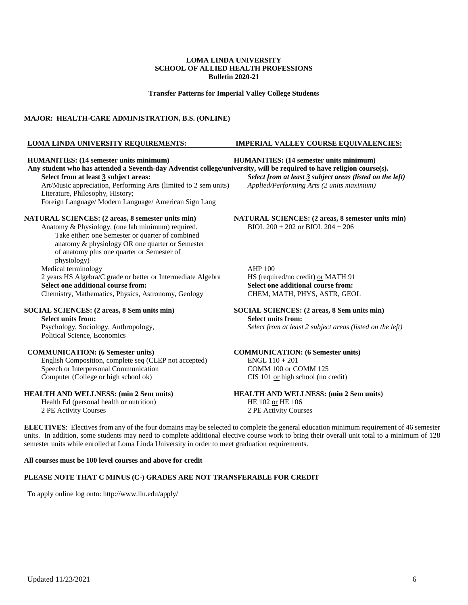**Transfer Patterns for Imperial Valley College Students**

### **MAJOR: HEALTH-CARE ADMINISTRATION, B.S. (ONLINE)**

#### **LOMA LINDA UNIVERSITY REQUIREMENTS: IMPERIAL VALLEY COURSE EQUIVALENCIES:**

**HUMANITIES: (14 semester units minimum) HUMANITIES: (14 semester units minimum)** Any student who has attended a Seventh-day Adventist college/university, will be required to have religion course(s).<br>Select from at least 3 subject areas (listed on the Art/Music appreciation, Performing Arts (limited to 2 sem units) Literature, Philosophy, History; Foreign Language/ Modern Language/ American Sign Lang

Anatomy & Physiology, (one lab minimum) required. Take either: one Semester or quarter of combined anatomy & physiology OR one quarter or Semester of anatomy plus one quarter or Semester of physiology) Medical terminology<br>
2 years HS Algebra/C grade or better or Intermediate Algebra<br>
AHP 100<br>
HS (required/no credit) <u>or</u> MATH 91 2 years HS Algebra/C grade or better or Intermediate Algebra HS (required/no credit) or MATH 91<br>
Select one additional course from:<br>
Select one additional course from: **Select one additional course from:**<br> **Select one additional course from:**<br> **Select one additional course from:**<br> **Select one additional course from:**<br> **Select one additional course from:**<br> **Select one additional course fr** Chemistry, Mathematics, Physics, Astronomy, Geology

#### **SOCIAL SCIENCES: (2 areas, 8 Sem units min) SOCIAL SCIENCES: (2 areas, 8 Sem units min)**

**Select units from:** <br>Psychology, Sociology, Anthropology, <br>Select from at least Political Science, Economics

English Composition, complete seq (CLEP not accepted) ENGL 110 + 201 Speech or Interpersonal Communication COMM 100 or COMM 125 COMPUTER COLLEGE OF high school ok) CIS 101 or high school (no credit)

### **HEALTH AND WELLNESS: (min 2 Sem units) HEALTH AND WELLNESS: (min 2 Sem units)**

Health Ed (personal health or nutrition) HE 102 or HE 106 2 PE Activity Courses 2 PE Activity Courses

**Select from at least 3 subject areas (listed on the left)** *Applied/Performing Arts (2 units maximum)* 

**NATURAL SCIENCES: (2 areas, 8 semester units min)**<br>Anatomy & Physiology, (one lab minimum) required.<br>BIOL 200 + 202 <u>or</u> BIOL 204 + 206

# Select from at least 2 subject areas (listed on the left)

**COMMUNICATION: (6 Semester units) COMMUNICATION: (6 Semester units)**

**ELECTIVES**: Electives from any of the four domains may be selected to complete the general education minimum requirement of 46 semester units. In addition, some students may need to complete additional elective course work to bring their overall unit total to a minimum of 128 semester units while enrolled at Loma Linda University in order to meet graduation requirements.

### **All courses must be 100 level courses and above for credit**

### **PLEASE NOTE THAT C MINUS (C-) GRADES ARE NOT TRANSFERABLE FOR CREDIT**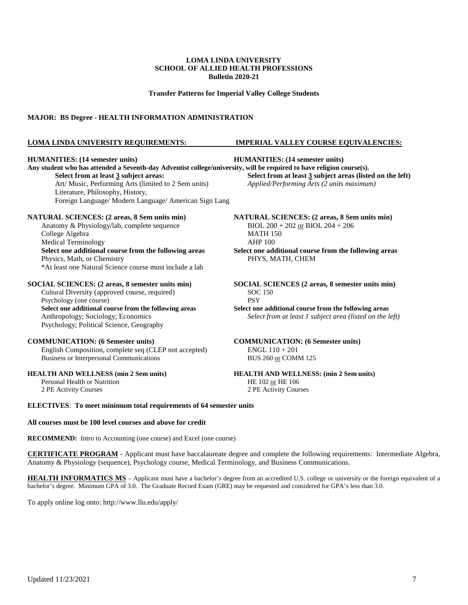**Transfer Patterns for Imperial Valley College Students**

### **MAJOR: BS Degree - HEALTH INFORMATION ADMINISTRATION**

### **LOMA LINDA UNIVERSITY REQUIREMENTS: IMPERIAL VALLEY COURSE EQUIVALENCIES:**

**HUMANITIES: (14 semester units) HUMANITIES: (14 semester units)** Any student who has attended a Seventh-day Adventist college/university, will be required to have religion course(s).<br>Select from at least 3 subject areas:<br> $\frac{1}{2}$ **Select from at least 3 subject areas (listed on the left)** Art/ Music, Performing Arts (limited to 2 Sem units) *Applied/Performing Arts (2 units maximum)* Literature, Philosophy, History, Foreign Language/ Modern Language/ American Sign Lang **NATURAL SCIENCES: (2 areas, 8 Sem units min) NATURAL SCIENCES: (2 areas, 8 Sem units min)** Anatomy & Physiology/lab, complete sequence BIOL 200 + 202 or BIOL 204 + 206 College Algebra MATH 150 Medical Terminology **AHP** 100 **Select one additional course from the following areas Select one additional course from the following areas** Physics, Math, or Chemistry PHYS, MATH, CHEM \*At least one Natural Science course must include a lab **SOCIAL SCIENCES: (2 areas, 8 semester units min) SOCIAL SCIENCES (2 areas, 8 semester units min)** Cultural Diversity (approved course, required) SOC 150 Psychology (one course) PSY **Select one additional course from the following areas Select one additional course from the following areas** Anthropology; Sociology; Economics *Select from at least 1 subject area (listed on the left)* Psychology; Political Science, Geography **COMMUNICATION: (6 Semester units) COMMUNICATION: (6 Semester units)** English Composition, complete seq (CLEP not accepted) ENGL 110 + 201 Business or Interpersonal Communications BUS 260 or COMM 125

Personal Health or Nutrition<br>2 PE Activity Courses

**HEALTH AND WELLNESS (min 2 Sem units)**<br>Personal Health or Nutrition **HEALTH AND WELLNESS: (min 2 Sem units)**<br>HE 102 or HE 106

2 PE Activity Courses 2 PE Activity Courses

**ELECTIVES**: **To meet minimum total requirements of 64 semester units**

### **All courses must be 100 level courses and above for credit**

**RECOMMEND:** Intro to Accounting (one course) and Excel (one course)

**CERTIFICATE PROGRAM** - Applicant must have baccalaureate degree and complete the following requirements: Intermediate Algebra, Anatomy & Physiology (sequence), Psychology course, Medical Terminology, and Business Communications.

**HEALTH INFORMATICS MS** – Applicant must have a bachelor's degree from an accredited U.S. college or university or the foreign equivalent of a bachelor's degree. Minimum GPA of 3.0. The Graduate Record Exam (GRE) may be requested and considered for GPA's less than 3.0.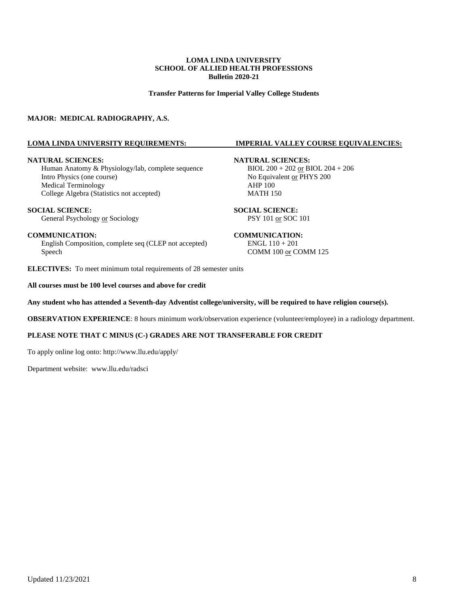**Transfer Patterns for Imperial Valley College Students**

### **MAJOR: MEDICAL RADIOGRAPHY, A.S.**

#### **LOMA LINDA UNIVERSITY REQUIREMENTS: IMPERIAL VALLEY COURSE EQUIVALENCIES:**

Human Anatomy & Physiology/lab, complete sequence Intro Physics (one course)<br>
Mo Equivalent <u>or</u> PHYS 200<br>
Medical Terminology<br>
AHP 100 Medical Terminology College Algebra (Statistics not accepted) MATH 150

**SOCIAL SCIENCE:**<br> **SOCIAL SCIENCE:**<br> **SOCIAL SCIENCE:**<br> **SOCIAL SCIENCE:**<br>
PSY 101 <u>or</u> SOC 101 General Psychology or Sociology

English Composition, complete seq (CLEP not accepted) ENGL 110 + 201 Speech COMM 100 or COMM 125

**ELECTIVES:** To meet minimum total requirements of 28 semester units

#### **All courses must be 100 level courses and above for credit**

**Any student who has attended a Seventh-day Adventist college/university, will be required to have religion course(s).**

**OBSERVATION EXPERIENCE**: 8 hours minimum work/observation experience (volunteer/employee) in a radiology department.

### **PLEASE NOTE THAT C MINUS (C-) GRADES ARE NOT TRANSFERABLE FOR CREDIT**

To apply online log onto:<http://www.llu.edu/apply/>

Department website: [www.llu.edu/radsci](http://www.llu.edu/radsci)

# **NATURAL SCIENCES:**<br>Human Anatomy & Physiology/lab, complete sequence<br> $BIOL 200 + 202$  or  $BIOL 204 + 206$

### **COMMUNICATION: COMMUNICATION:**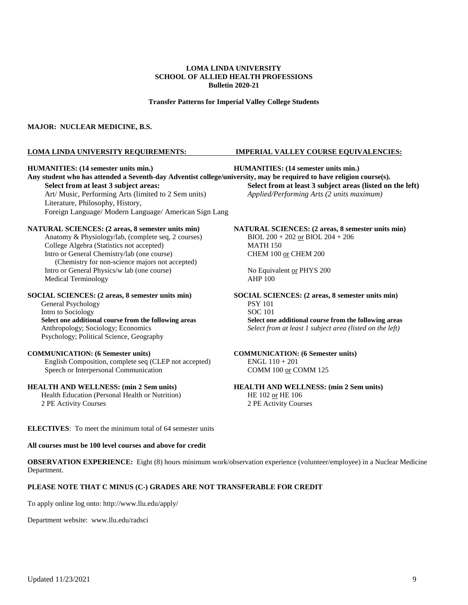#### **Transfer Patterns for Imperial Valley College Students**

#### **MAJOR: NUCLEAR MEDICINE, B.S.**

#### **LOMA LINDA UNIVERSITY REQUIREMENTS: IMPERIAL VALLEY COURSE EQUIVALENCIES:**

#### **HUMANITIES: (14 semester units min.) HUMANITIES: (14 semester units min.)**

**Any student who has attended a Seventh-day Adventist college/university, may be required to have religion course(s). Select from at least 3 subject areas: Select from at least 3 subject areas (listed on the left)** Art/ Music, Performing Arts (limited to 2 Sem units) *Applied/Performing Arts (2 units maximum)* Art/ Music, Performing Arts (limited to 2 Sem units) Literature, Philosophy, History, Foreign Language/ Modern Language/ American Sign Lang

#### **NATURAL SCIENCES: (2 areas, 8 semester units min) NATURAL SCIENCES: (2 areas, 8 semester units min)**

Anatomy & Physiology/lab, (complete seq, 2 courses) BIOL  $200 + 202$  or BIOL  $204 + 206$ <br>College Algebra (Statistics not accepted) MATH 150 College Algebra (Statistics not accepted) Intro or General Chemistry/lab (one course) CHEM 100 or CHEM 200 (Chemistry for non-science majors not accepted) Intro or General Physics/w lab (one course) No Equivalent <u>or</u> PHYS 200<br>Medical Terminology AHP 100 Medical Terminology

General Psychology<br>
Intro to Sociology<br>
SOC 101 Intro to Sociology Psychology; Political Science, Geography

English Composition, complete seq (CLEP not accepted) Speech or Interpersonal Communication COMM 100 or COMM 125

#### **HEALTH AND WELLNESS: (min 2 Sem units) HEALTH AND WELLNESS: (min 2 Sem units)**

Health Education (Personal Health or Nutrition) HE 102 or HE 106 2 PE Activity Courses 2 PE Activity Courses

**SOCIAL SCIENCES: (2 areas, 8 semester units min) SOCIAL SCIENCES: (2 areas, 8 semester units min) Select one additional course from the following areas Select one additional course from the following areas** Anthropology; Sociology; Economics *Select from at least 1 subject area (listed on the left)*

**COMMUNICATION: (6 Semester units)**<br>English Composition, complete seq (CLEP not accepted) ENGL  $110 + 201$ 

**ELECTIVES**: To meet the minimum total of 64 semester units

#### **All courses must be 100 level courses and above for credit**

**OBSERVATION EXPERIENCE:** Eight (8) hours minimum work/observation experience (volunteer/employee) in a Nuclear Medicine Department.

### **PLEASE NOTE THAT C MINUS (C-) GRADES ARE NOT TRANSFERABLE FOR CREDIT**

To apply online log onto:<http://www.llu.edu/apply/>

Department website: [www.llu.edu/radsci](http://www.llu.edu/radsci)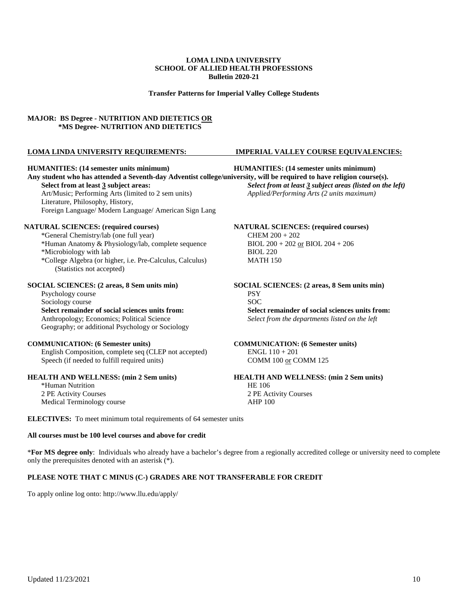**Transfer Patterns for Imperial Valley College Students**

### **MAJOR: BS Degree - NUTRITION AND DIETETICS OR \*MS Degree- NUTRITION AND DIETETICS**

#### **HUMANITIES: (14 semester units minimum) HUMANITIES: (14 semester units minimum)**

**Any student who has attended a Seventh-day Adventist college/university, will be required to have religion course(s). Select from at least 3 subject areas:** *Select from at least 3 subject areas (listed on the left)* Art/Music; Performing Arts (limited to 2 sem units) *Applied/Performing Arts (2 units maximum)* Literature, Philosophy, History, Foreign Language/ Modern Language/ American Sign Lang

### **NATURAL SCIENCES: (required courses) NATURAL SCIENCES: (required courses)**

\*General Chemistry/lab (one full year) CHEM 200 + 202 \*Human Anatomy & Physiology/lab, complete sequence BIOL 200 + 202 or BIOL 204 + 206 \*Microbiology with lab BIOL 220 \*College Algebra (or higher, i.e. Pre-Calculus, Calculus) MATH 150 (Statistics not accepted)

Psychology course PSY<br>
PSY<br>
Sociology course PSY Sociology course **Select remainder of social sciences units from:**<br>Anthropology: Economics: Political Science<br>Select from the departments listed on the left Geography; or additional Psychology or Sociology

#### **COMMUNICATION: (6 Semester units) COMMUNICATION: (6 Semester units)**

English Composition, complete seq (CLEP not accepted) ENGL 110 + 201 Speech (if needed to fulfill required units) COMM 100 or COMM 125

\*Human Nutrition HE 106 2 PE Activity Courses 2 PE Activity Courses Medical Terminology course AHP 100

### **LOMA LINDA UNIVERSITY REQUIREMENTS: IMPERIAL VALLEY COURSE EQUIVALENCIES:**

**SOCIAL SCIENCES:** (2 areas, 8 Sem units min)<br> **SOCIAL SCIENCES:** (2 areas, 8 Sem units min)<br> **SOCIAL SCIENCES:** (2 areas, 8 Sem units min) Select from the departments listed on the left

## **HEALTH AND WELLNESS: (min 2 Sem units) HEALTH AND WELLNESS: (min 2 Sem units)**

**ELECTIVES:** To meet minimum total requirements of 64 semester units

### **All courses must be 100 level courses and above for credit**

\***For MS degree only**: Individuals who already have a bachelor's degree from a regionally accredited college or university need to complete only the prerequisites denoted with an asterisk (\*).

### **PLEASE NOTE THAT C MINUS (C-) GRADES ARE NOT TRANSFERABLE FOR CREDIT**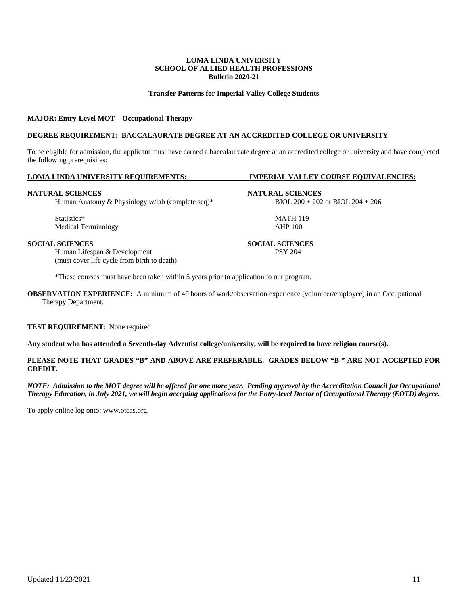### **Transfer Patterns for Imperial Valley College Students**

### **MAJOR: Entry-Level MOT – Occupational Therapy**

### **DEGREE REQUIREMENT: BACCALAURATE DEGREE AT AN ACCREDITED COLLEGE OR UNIVERSITY**

To be eligible for admission, the applicant must have earned a baccalaureate degree at an accredited college or university and have completed the following prerequisites:

#### **LOMA LINDA UNIVERSITY REQUIREMENTS: IMPERIAL VALLEY COURSE EQUIVALENCIES:**

#### **NATURAL SCIENCES NATURAL SCIENCES**

Human Anatomy & Physiology w/lab (complete seq)\* BIOL 200 + 202 or BIOL 204 + 206

Statistics\* MATH 119<br>Medical Terminology Mathematics and the state of the MATH 119 Medical Terminology

Human Lifespan & Development PSY 204 (must cover life cycle from birth to death)

\*These courses must have been taken within 5 years prior to application to our program.

**OBSERVATION EXPERIENCE:** A minimum of 40 hours of work/observation experience (volunteer/employee) in an Occupational Therapy Department.

### **TEST REQUIREMENT**: None required

**Any student who has attended a Seventh-day Adventist college/university, will be required to have religion course(s).**

### **PLEASE NOTE THAT GRADES "B" AND ABOVE ARE PREFERABLE. GRADES BELOW "B-" ARE NOT ACCEPTED FOR CREDIT.**

*NOTE: Admission to the MOT degree will be offered for one more year. Pending approval by the Accreditation Council for Occupational Therapy Education, in July 2021, we will begin accepting applications for the Entry-level Doctor of Occupational Therapy (EOTD) degree.*

To apply online log onto: [www.otcas.org.](http://www.otcas.org./)

Updated 11/23/2021 11

**SOCIAL SCIENCES SOCIAL SCIENCES**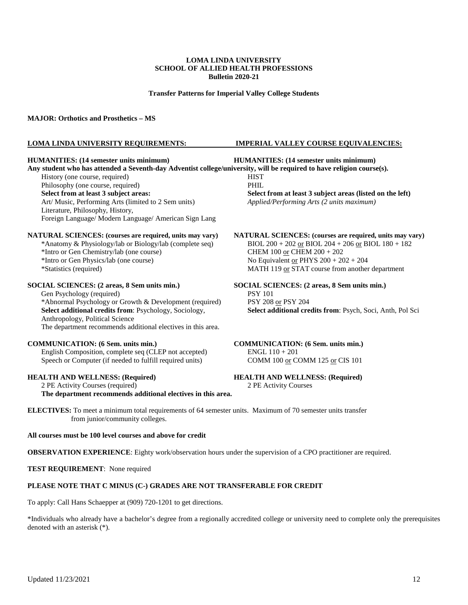**Transfer Patterns for Imperial Valley College Students**

#### **MAJOR: Orthotics and Prosthetics – MS**

#### **LOMA LINDA UNIVERSITY REQUIREMENTS: IMPERIAL VALLEY COURSE EQUIVALENCIES:**

### **HUMANITIES: (14 semester units minimum) HUMANITIES: (14 semester units minimum)**

**Any student who has attended a Seventh-day Adventist college/university, will be required to have religion course(s).** History (one course, required) HIST Philosophy (one course, required) PHIL **Select from at least 3 subject areas: Select from at least 3 subject areas (listed on the left)** Art/ Music, Performing Arts (limited to 2 Sem units) *Applied/Performing Arts (2 units maximum)* Art/ Music, Performing Arts (limited to 2 Sem units) Literature, Philosophy, History, Foreign Language/ Modern Language/ American Sign Lang

#### **NATURAL SCIENCES: (courses are required, units may vary) NATURAL SCIENCES: (courses are required, units may vary)**

\*Intro or Gen Chemistry/lab (one course) CHEM  $100 \text{ or }$  CHEM  $200 + 202$ 

Gen Psychology (required) PSY 101<br>
\*Abnormal Psychology or Growth & Development (required) PSY 208 or PSY 204 \*Abnormal Psychology or Growth & Development (required) Select additional credits from: Psychology, Sociology, Anthropology, Political Science The department recommends additional electives in this area.

#### **COMMUNICATION: (6 Sem. units min.) COMMUNICATION: (6 Sem. units min.)**

English Composition, complete seq (CLEP not accepted) ENGL 110 + 201 Speech or Computer (if needed to fulfill required units) COMM 100 or COMM 125 or CIS 101

2 PE Activity Courses (required) 2 PE Activity Courses

**The department recommends additional electives in this area.**

\*Anatomy & Physiology/lab or Biology/lab (complete seq) BIOL  $200 + 202$  or BIOL  $204 + 206$  or BIOL  $180 + 182$ \*Intro or Gen Physics/lab (one course) No Equivalent <u>or</u> PHYS 200 + 202 + 204<br>
\*Statistics (required) NATH 119 <u>or</u> STAT course from another MATH 119 or STAT course from another department

**SOCIAL SCIENCES: (2 areas, 8 Sem units min.) SOCIAL SCIENCES: (2 areas, 8 Sem units min.) SOCIAL SCIENCES: (2 areas, 8 Sem units min.) PSY 101 Select additional credits from: Psych, Soci, Anth, Pol Sci** 

## **HEALTH AND WELLNESS: (Required)**<br>
2 PE Activity Courses (required)<br>
2 PE Activity Courses (required)

**ELECTIVES:** To meet a minimum total requirements of 64 semester units. Maximum of 70 semester units transfer from junior/community colleges.

### **All courses must be 100 level courses and above for credit**

**OBSERVATION EXPERIENCE**: Eighty work/observation hours under the supervision of a CPO practitioner are required.

**TEST REQUIREMENT**: None required

### **PLEASE NOTE THAT C MINUS (C-) GRADES ARE NOT TRANSFERABLE FOR CREDIT**

To apply: Call Hans Schaepper at (909) 720-1201 to get directions.

\*Individuals who already have a bachelor's degree from a regionally accredited college or university need to complete only the prerequisites denoted with an asterisk (\*).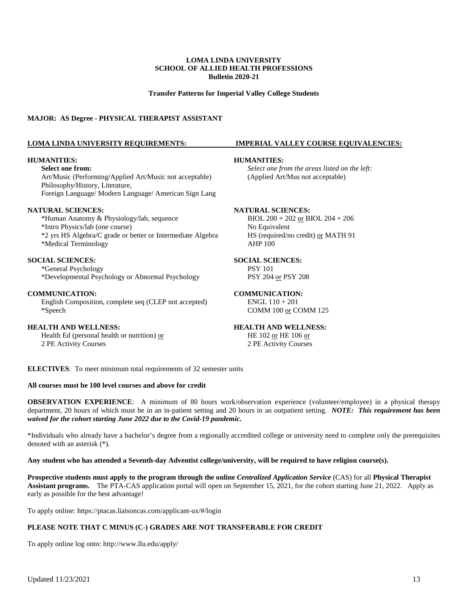**Transfer Patterns for Imperial Valley College Students**

### **MAJOR: AS Degree - PHYSICAL THERAPIST ASSISTANT**

#### **HUMANITIES: HUMANITIES:**

Art/Music (Performing/Applied Art/Music not acceptable) (Applied Art/Mus not acceptable) Philosophy/History, Literature, Foreign Language/ Modern Language/ American Sign Lang

**NATURAL SCIENCES:**<br>
\*Human Anatomy & Physiology/lab, sequence BIOL 200 + 202 or BIOL 204 + 206 \*Human Anatomy & Physiology/lab, sequence \*Intro Physics/lab (one course) No Equivalent \*2 yrs HS Algebra/C grade or better or Intermediate Algebra HS (required/no credit) <u>or</u> MATH 91<br>
\*Medical Terminology AHP 100 \*Medical Terminology

### **SOCIAL SCIENCES: SOCIAL SCIENCES:**

\*General Psychology PSY 101 \*Developmental Psychology or Abnormal Psychology PSY 204 or PSY 208

#### **COMMUNICATION: COMMUNICATION:**

English Composition, complete seq (CLEP not accepted) ENGL  $110 + 201$ \*Speech COMM 100 or COMM 125

**HEALTH AND WELLNESS:**<br> **HEALTH AND WELLNESS:**<br> **HEALTH AND WELLNESS:**<br> **HEALTH AND WELLNESS:**<br> **HE** 102 <u>or</u> HE 106 or Health Ed (personal health or nutrition)  $or$ 2 PE Activity Courses 2 PE Activity Courses

#### **LOMA LINDA UNIVERSITY REQUIREMENTS: IMPERIAL VALLEY COURSE EQUIVALENCIES:**

**Select one from:** *Select one from the areas listed on the left:*

**ELECTIVES**: To meet minimum total requirements of 32 semester units

### **All courses must be 100 level courses and above for credit**

**OBSERVATION EXPERIENCE**: A minimum of 80 hours work/observation experience (volunteer/employee) in a physical therapy department, 20 hours of which must be in an in-patient setting and 20 hours in an outpatient setting. *NOTE: This requirement has been waived for the cohort starting June 2022 due to the Covid-19 pandemic.*

\*Individuals who already have a bachelor's degree from a regionally accredited college or university need to complete only the prerequisites denoted with an asterisk (\*).

### **Any student who has attended a Seventh-day Adventist college/university, will be required to have religion course(s).**

**Prospective students must apply to the program through the online** *Centralized Application Service* (CAS) for all **Physical Therapist Assistant programs.** The PTA-CAS application portal will open on September 15, 2021, for the cohort starting June 21, 2022. Apply as early as possible for the best advantage!

To apply online:<https://ptacas.liaisoncas.com/applicant-ux/#/login>

### **PLEASE NOTE THAT C MINUS (C-) GRADES ARE NOT TRANSFERABLE FOR CREDIT**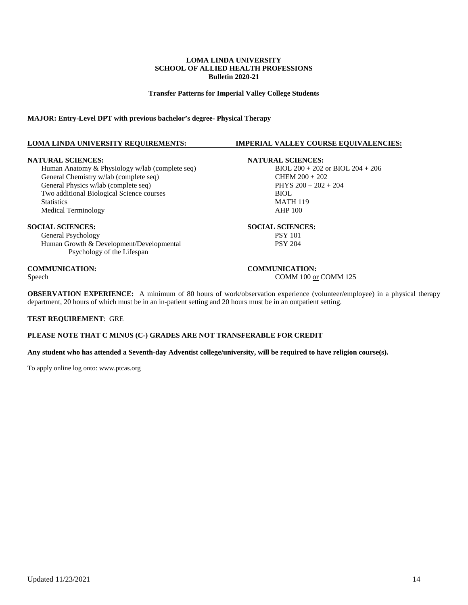**Transfer Patterns for Imperial Valley College Students**

### **MAJOR: Entry-Level DPT with previous bachelor's degree- Physical Therapy**

### **LOMA LINDA UNIVERSITY REQUIREMENTS: IMPERIAL VALLEY COURSE EQUIVALENCIES:**

Human Anatomy & Physiology w/lab (complete seq) BIOL  $200 + 202$  or BIOL  $200 + 202$  or BIOL  $200 + 202$ General Chemistry w/lab (complete seq) General Physics w/lab (complete seq)  $PHYS 200 + 202 + 204$ Two additional Biological Science courses BIOL Statistics MATH 119<br>Medical Terminology and the statistic method of the MATH 119<br>AHP 100 Medical Terminology

**SOCIAL SCIENCES:**<br> **SOCIAL SCIENCES:**<br> **SOCIAL SCIENCES:**<br> **SOCIAL SCIENCES:**<br>
PSY 101 General Psychology Human Growth & Development/Developmental PSY 204 Psychology of the Lifespan

### **COMMUNICATION:**<br>Speech **COMMUNICATION:**<br>COMM 100 <u>or</u> COMM 100 or COMM 125

**OBSERVATION EXPERIENCE:** A minimum of 80 hours of work/observation experience (volunteer/employee) in a physical therapy department, 20 hours of which must be in an in-patient setting and 20 hours must be in an outpatient setting.

#### **TEST REQUIREMENT**: GRE

### **PLEASE NOTE THAT C MINUS (C-) GRADES ARE NOT TRANSFERABLE FOR CREDIT**

**Any student who has attended a Seventh-day Adventist college/university, will be required to have religion course(s).**

To apply online log onto[: www.ptcas.org](http://www.ptcas.org/)

**NATURAL SCIENCES:**<br>
Human Anatomy & Physiology w/lab (complete seq) BIOL 200 + 202 or BIOL 204 + 206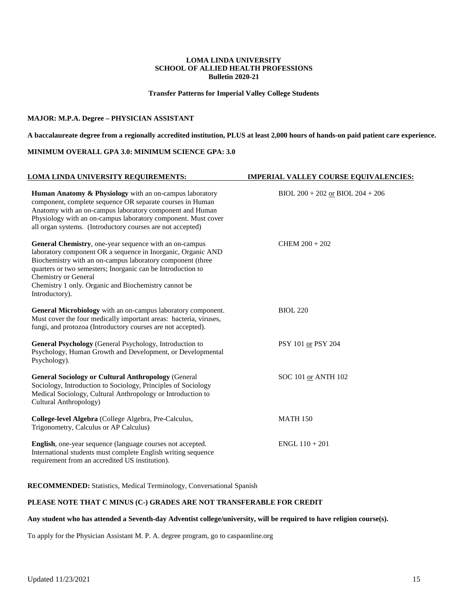**Transfer Patterns for Imperial Valley College Students**

### **MAJOR: M.P.A. Degree – PHYSICIAN ASSISTANT**

**A baccalaureate degree from a regionally accredited institution, PLUS at least 2,000 hours of hands-on paid patient care experience.**

### **MINIMUM OVERALL GPA 3.0: MINIMUM SCIENCE GPA: 3.0**

| LOMA LINDA UNIVERSITY REQUIREMENTS:                                                                                                                                                                                                                                                                                                                          | <b>IMPERIAL VALLEY COURSE EQUIVALENCIES:</b> |  |
|--------------------------------------------------------------------------------------------------------------------------------------------------------------------------------------------------------------------------------------------------------------------------------------------------------------------------------------------------------------|----------------------------------------------|--|
| Human Anatomy & Physiology with an on-campus laboratory<br>component, complete sequence OR separate courses in Human<br>Anatomy with an on-campus laboratory component and Human<br>Physiology with an on-campus laboratory component. Must cover<br>all organ systems. (Introductory courses are not accepted)                                              | BIOL $200 + 202$ or BIOL $204 + 206$         |  |
| General Chemistry, one-year sequence with an on-campus<br>laboratory component OR a sequence in Inorganic, Organic AND<br>Biochemistry with an on-campus laboratory component (three<br>quarters or two semesters; Inorganic can be Introduction to<br><b>Chemistry or General</b><br>Chemistry 1 only. Organic and Biochemistry cannot be<br>Introductory). | $CHEM 200 + 202$                             |  |
| General Microbiology with an on-campus laboratory component.<br>Must cover the four medically important areas: bacteria, viruses,<br>fungi, and protozoa (Introductory courses are not accepted).                                                                                                                                                            | <b>BIOL 220</b>                              |  |
| General Psychology (General Psychology, Introduction to<br>Psychology, Human Growth and Development, or Developmental<br>Psychology).                                                                                                                                                                                                                        | PSY 101 or PSY 204                           |  |
| <b>General Sociology or Cultural Anthropology (General</b><br>Sociology, Introduction to Sociology, Principles of Sociology<br>Medical Sociology, Cultural Anthropology or Introduction to<br>Cultural Anthropology)                                                                                                                                         | SOC 101 or ANTH 102                          |  |
| College-level Algebra (College Algebra, Pre-Calculus,<br>Trigonometry, Calculus or AP Calculus)                                                                                                                                                                                                                                                              | <b>MATH 150</b>                              |  |
| <b>English</b> , one-year sequence (language courses not accepted.<br>International students must complete English writing sequence<br>requirement from an accredited US institution).                                                                                                                                                                       | $ENGL$ 110 + 201                             |  |

**RECOMMENDED:** Statistics, Medical Terminology, Conversational Spanish

### **PLEASE NOTE THAT C MINUS (C-) GRADES ARE NOT TRANSFERABLE FOR CREDIT**

### **Any student who has attended a Seventh-day Adventist college/university, will be required to have religion course(s).**

To apply for the Physician Assistant M. P. A. degree program, go to caspaonline.org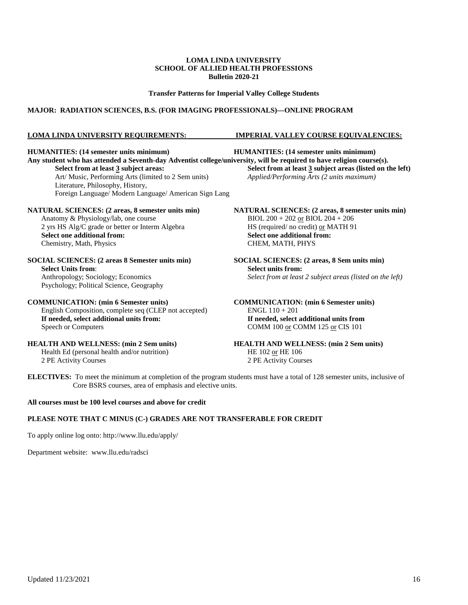### **Transfer Patterns for Imperial Valley College Students**

### **MAJOR: RADIATION SCIENCES, B.S. (FOR IMAGING PROFESSIONALS)—ONLINE PROGRAM**

### **LOMA LINDA UNIVERSITY REQUIREMENTS: IMPERIAL VALLEY COURSE EQUIVALENCIES:**

**HUMANITIES: (14 semester units minimum) HUMANITIES: (14 semester units minimum)** Any student who has attended a Seventh-day Adventist college/university, will be required to have religion course(s).<br>Select from at least 3 subject areas:<br>Select from at least 3 subject areas (listed on t **Select from at least 3** subject areas (listed on the left) Art/ Music, Performing Arts (limited to 2 Sem units) *Applied/Performing Arts (2 units maximum)* Literature, Philosophy, History, Foreign Language/ Modern Language/ American Sign Lang **NATURAL SCIENCES:** (2 areas, 8 semester units min)<br>Anatomy & Physiology/lab, one course<br> $BIOL 200 + 202 \text{ or } BIOL 204 + 206$ Anatomy & Physiology/lab, one course BIOL 200 + 202 or BIOL 204 + 206<br>2 yrs HS Alg/C grade or better or Interm Algebra HS (required/ no credit) or MATH 91 2 yrs HS Alg/C grade or better or Interm Algebra<br>Select one additional from: **Select one additional from:**<br>**CHEM, MATH, PHYS** Chemistry, Math, Physics **SOCIAL SCIENCES: (2 areas 8 Semester units min) SOCIAL SCIENCES: (2 areas, 8 Sem units min) Select Units from:**<br> **Select units from:**<br> **Select from at least**<br> **Select from at least** Select from at least 2 subject areas (listed on the left) Psychology; Political Science, Geography **COMMUNICATION: (min 6 Semester units) COMMUNICATION: (min 6 Semester units)** English Composition, complete seq (CLEP not accepted) ENGL 110 + 201

**If needed, select additional units from: If needed, select additional units from**<br>Speech or Computers **COMM 100** or COMM 125 or CIS 101

Health Ed (personal health and/or nutrition)<br>2 PE Activity Courses

COMM 100 or COMM 125 or CIS 101

**HEALTH AND WELLNESS: (min 2 Sem units)**<br>
HEALTH AND WELLNESS: (min 2 Sem units)<br>
HE 102 or HE 106<br>
HE 102 or HE 106 2 PE Activity Courses 2 PE Activity Courses

**ELECTIVES:** To meet the minimum at completion of the program students must have a total of 128 semester units, inclusive of Core BSRS courses, area of emphasis and elective units.

### **All courses must be 100 level courses and above for credit**

### **PLEASE NOTE THAT C MINUS (C-) GRADES ARE NOT TRANSFERABLE FOR CREDIT**

To apply online log onto:<http://www.llu.edu/apply/>

Department website: [www.llu.edu/radsci](http://www.llu.edu/radsci)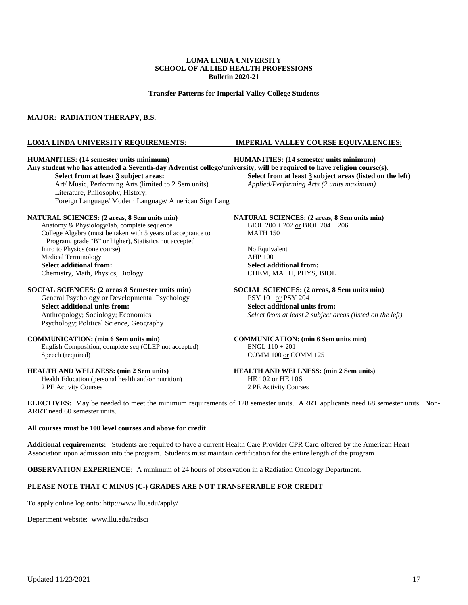**Transfer Patterns for Imperial Valley College Students**

### **MAJOR: RADIATION THERAPY, B.S.**

#### **HUMANITIES: (14 semester units minimum) HUMANITIES: (14 semester units minimum)**

**Any student who has attended a Seventh-day Adventist college/university, will be required to have religion course(s). Select from at least 3 subject areas: Select from at least 3 subject areas (listed on the left)** Art/ Music, Performing Arts (limited to 2 Sem units) *Applied/Performing Arts (2 units maximum)* Art/ Music, Performing Arts (limited to 2 Sem units) Literature, Philosophy, History, Foreign Language/ Modern Language/ American Sign Lang

#### **NATURAL SCIENCES: (2 areas, 8 Sem units min) NATURAL SCIENCES: (2 areas, 8 Sem units min)**

Anatomy & Physiology/lab, complete sequence BIOL 200 + 202 or BIOL 204 + 206 College Algebra (must be taken with 5 years of acceptance to MATH 150 Program, grade "B" or higher), Statistics not accepted Intro to Physics (one course) No Equivalent<br>
Medical Terminology<br>
AHP 100 Medical Terminology Select additional from:<br> **Select additional from:**<br> **Select additional from:**<br> **Select additional from:**<br> **Select additional from:**<br> **Select additional from:** Chemistry, Math, Physics, Biology

**SOCIAL SCIENCES: (2 areas 8 Semester units min) SOCIAL SCIENCES: (2 areas, 8 Sem units min)** General Psychology or Developmental Psychology **PSY 101** or PSY 204 General Psychology or Developmental Psychology

Psychology; Political Science, Geography

### **COMMUNICATION: (min 6 Sem units min) COMMUNICATION: (min 6 Sem units min)**

English Composition, complete seq (CLEP not accepted) ENGL 110 + 201 Speech (required) COMM 100 or COMM 125

Health Education (personal health and/or nutrition) 2 PE Activity Courses 2 PE Activity Courses

### **LOMA LINDA UNIVERSITY REQUIREMENTS: IMPERIAL VALLEY COURSE EQUIVALENCIES:**

**Select additional units from:**<br> **Select additional units from:**<br> **Select from at least 2 subject a**<br> **Select from at least 2 subject a** Select from at least 2 subject areas (listed on the left)

**HEALTH AND WELLNESS: (min 2 Sem units)**<br> **HEALTH AND WELLNESS: (min 2 Sem units)**<br> **HE** 102 <u>or</u> HE 106<br> **HE** 102 or HE 106

**ELECTIVES:** May be needed to meet the minimum requirements of 128 semester units. ARRT applicants need 68 semester units. Non-ARRT need 60 semester units.

### **All courses must be 100 level courses and above for credit**

**Additional requirements:** Students are required to have a current Health Care Provider CPR Card offered by the American Heart Association upon admission into the program. Students must maintain certification for the entire length of the program.

**OBSERVATION EXPERIENCE:** A minimum of 24 hours of observation in a Radiation Oncology Department.

### **PLEASE NOTE THAT C MINUS (C-) GRADES ARE NOT TRANSFERABLE FOR CREDIT**

To apply online log onto:<http://www.llu.edu/apply/>

Department website: [www.llu.edu/radsci](http://www.llu.edu/radsci)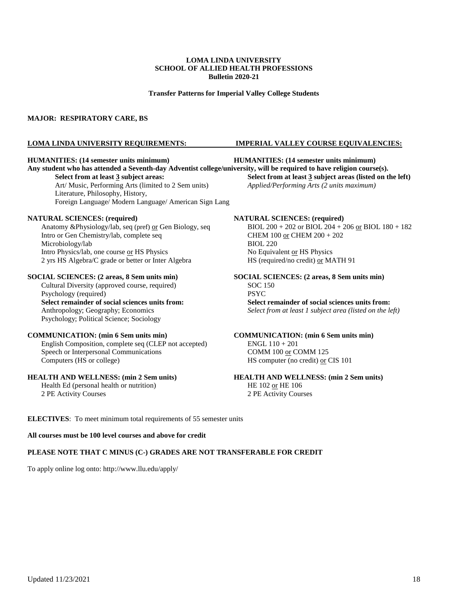**Transfer Patterns for Imperial Valley College Students**

### **MAJOR: RESPIRATORY CARE, BS**

#### **LOMA LINDA UNIVERSITY REQUIREMENTS: IMPERIAL VALLEY COURSE EQUIVALENCIES:**

Art/ Music, Performing Arts (limited to 2 Sem units) *Applied/Performing Arts (2 units maximum)* Literature, Philosophy, History, Foreign Language/ Modern Language/ American Sign Lang

Anatomy &Physiology/lab, seq (pref) <u>or</u> Gen Biology, seq BIOL 200 + 202 or BIOL 204 + 2<br>Intro or Gen Chemistry/lab, complete seq CHEM 100 <u>or</u> CHEM 200 + 202 Intro or Gen Chemistry/lab, complete seq Microbiology/lab BIOL 220 Intro Physics/lab, one course <u>or</u> HS Physics<br>
2 yrs HS Algebra/C grade or better or Inter Algebra<br>
HS (required/no credit) <u>or</u> MATH 91 2 yrs HS Algebra/C grade or better or Inter Algebra

Cultural Diversity (approved course, required) SOC 1<br>
Psychology (required) PSYC Psychology (required) **Select remainder of social sciences units from: Select remainder of social sciences units from:** Psychology; Political Science; Sociology

English Composition, complete seq (CLEP not accepted) ENGL 110 + 201<br>Speech or Interpersonal Communications COMM 100 or COMM 125 Speech or Interpersonal Communications Computers (HS or college) HS computer (no credit) or CIS 101

Health Ed (personal health or nutrition) HE 102 or HE 106 2 PE Activity Courses 2 PE Activity Courses

#### **HUMANITIES: (14 semester units minimum) HUMANITIES: (14 semester units minimum)**

**Any student who has attended a Seventh-day Adventist college/university, will be required to have religion course(s).**

**Select from at least 3 subject areas: Select from at least 3 subject areas (listed on the left)**

**NATURAL SCIENCES: (required)**<br>Anatomy &Physiology/lab, seq (pref) <u>or</u> Gen Biology, seq BIOL 200 + 202 or BIOL 204 + 206 <u>or</u> BIOL 180 + 182

# **SOCIAL SCIENCES: (2 areas, 8 Sem units min)**<br> **SOCIAL SCIENCES: (2 areas, 8 Sem units min)**<br> **SOC 150**<br> **SOC 150**

Anthropology; Geography; Economics *Select from at least 1 subject area (listed on the left)*

# **COMMUNICATION: (min 6 Sem units min) COMMUNICATION: (min 6 Sem units min)**

## **HEALTH AND WELLNESS: (min 2 Sem units) HEALTH AND WELLNESS: (min 2 Sem units)**

**ELECTIVES**: To meet minimum total requirements of 55 semester units

### **All courses must be 100 level courses and above for credit**

### **PLEASE NOTE THAT C MINUS (C-) GRADES ARE NOT TRANSFERABLE FOR CREDIT**